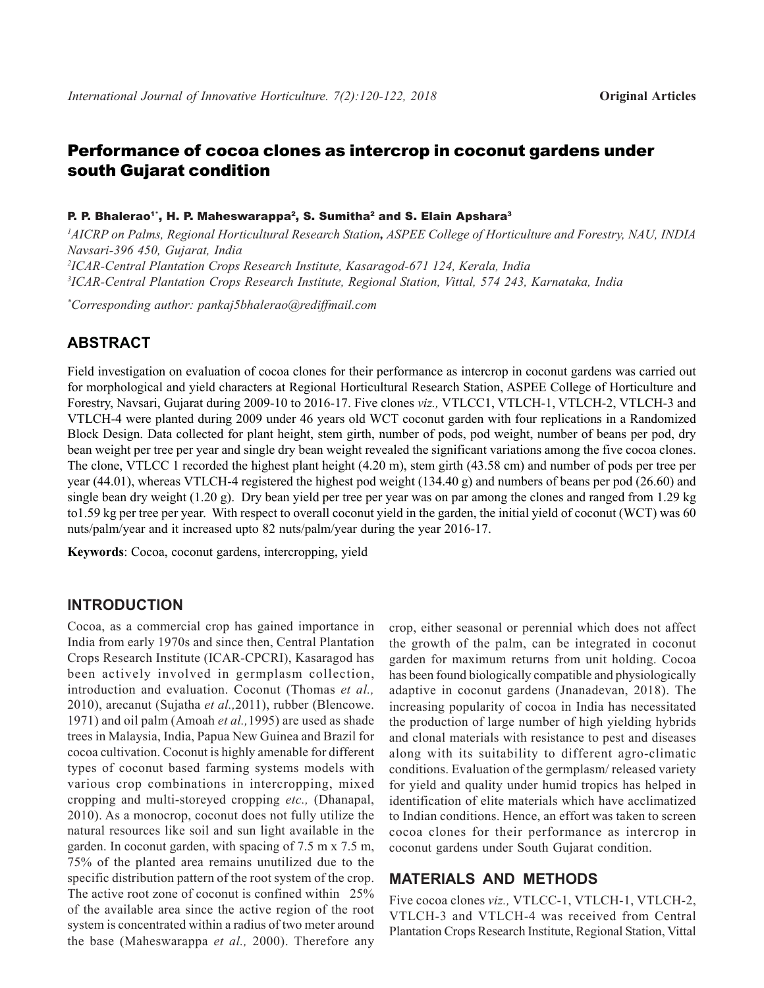# Performance of cocoa clones as intercrop in coconut gardens under south Gujarat condition

#### P. P. Bhalerao<sup>1</sup>', H. P. Maheswarappa<sup>2</sup>, S. Sumitha<sup>2</sup> and S. Elain Apshara<sup>3</sup>

 *AICRP on Palms, Regional Horticultural Research Station, ASPEE College of Horticulture and Forestry, NAU, INDIA Navsari-396 450, Gujarat, India ICAR-Central Plantation Crops Research Institute, Kasaragod-671 124, Kerala, India ICAR-Central Plantation Crops Research Institute, Regional Station, Vittal, 574 243, Karnataka, India*

*\* Corresponding author: pankaj5bhalerao@rediffmail.com*

## **ABSTRACT**

Field investigation on evaluation of cocoa clones for their performance as intercrop in coconut gardens was carried out for morphological and yield characters at Regional Horticultural Research Station, ASPEE College of Horticulture and Forestry, Navsari, Gujarat during 2009-10 to 2016-17. Five clones *viz.,* VTLCC1, VTLCH-1, VTLCH-2, VTLCH-3 and VTLCH-4 were planted during 2009 under 46 years old WCT coconut garden with four replications in a Randomized Block Design. Data collected for plant height, stem girth, number of pods, pod weight, number of beans per pod, dry bean weight per tree per year and single dry bean weight revealed the significant variations among the five cocoa clones. The clone, VTLCC 1 recorded the highest plant height (4.20 m), stem girth (43.58 cm) and number of pods per tree per year (44.01), whereas VTLCH-4 registered the highest pod weight (134.40 g) and numbers of beans per pod (26.60) and single bean dry weight (1.20 g). Dry bean yield per tree per year was on par among the clones and ranged from 1.29 kg to1.59 kg per tree per year. With respect to overall coconut yield in the garden, the initial yield of coconut (WCT) was 60 nuts/palm/year and it increased upto 82 nuts/palm/year during the year 2016-17.

**Keywords**: Cocoa, coconut gardens, intercropping, yield

### **INTRODUCTION**

Cocoa, as a commercial crop has gained importance in India from early 1970s and since then, Central Plantation Crops Research Institute (ICAR-CPCRI), Kasaragod has been actively involved in germplasm collection, introduction and evaluation. Coconut (Thomas *et al.,* 2010), arecanut (Sujatha *et al.,*2011), rubber (Blencowe. 1971) and oil palm (Amoah *et al.,*1995) are used as shade trees in Malaysia, India, Papua New Guinea and Brazil for cocoa cultivation. Coconut is highly amenable for different types of coconut based farming systems models with various crop combinations in intercropping, mixed cropping and multi-storeyed cropping *etc.,* (Dhanapal, 2010). As a monocrop, coconut does not fully utilize the natural resources like soil and sun light available in the garden. In coconut garden, with spacing of 7.5 m x 7.5 m, 75% of the planted area remains unutilized due to the specific distribution pattern of the root system of the crop. The active root zone of coconut is confined within 25% of the available area since the active region of the root system is concentrated within a radius of two meter around the base (Maheswarappa *et al.,* 2000). Therefore any

crop, either seasonal or perennial which does not affect the growth of the palm, can be integrated in coconut garden for maximum returns from unit holding. Cocoa has been found biologically compatible and physiologically adaptive in coconut gardens (Jnanadevan, 2018). The increasing popularity of cocoa in India has necessitated the production of large number of high yielding hybrids and clonal materials with resistance to pest and diseases along with its suitability to different agro-climatic conditions. Evaluation of the germplasm/ released variety for yield and quality under humid tropics has helped in identification of elite materials which have acclimatized to Indian conditions. Hence, an effort was taken to screen cocoa clones for their performance as intercrop in coconut gardens under South Gujarat condition.

#### **MATERIALS AND METHODS**

Five cocoa clones *viz.,* VTLCC-1, VTLCH-1, VTLCH-2, VTLCH-3 and VTLCH-4 was received from Central Plantation Crops Research Institute, Regional Station, Vittal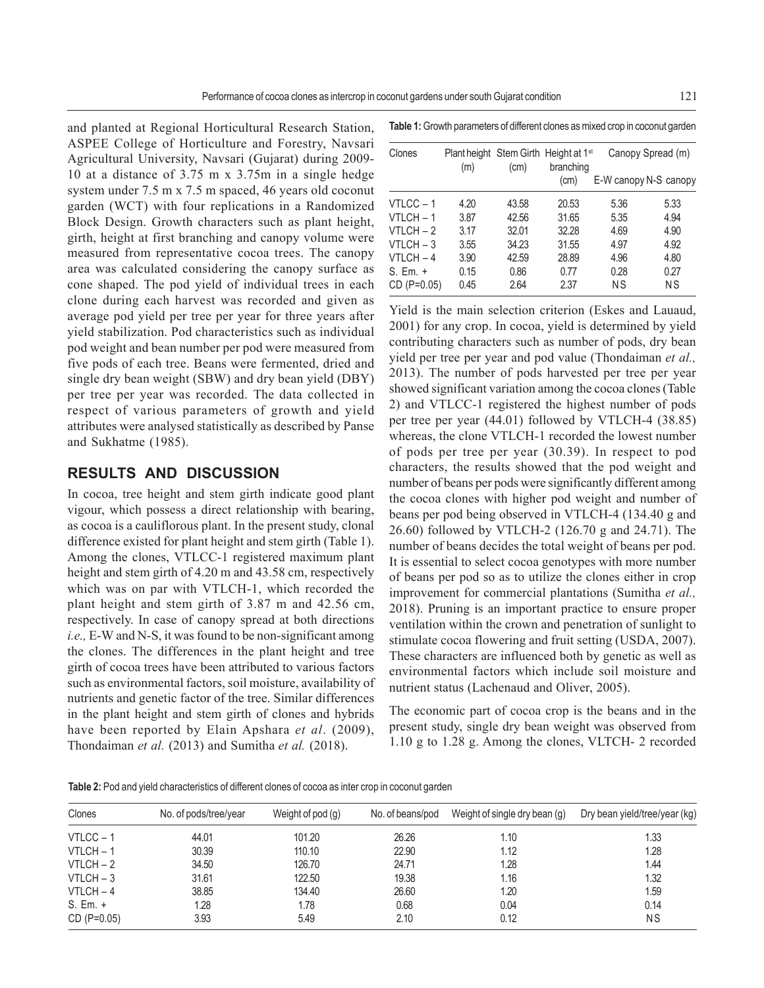and planted at Regional Horticultural Research Station, ASPEE College of Horticulture and Forestry, Navsari Agricultural University, Navsari (Gujarat) during 2009- 10 at a distance of 3.75 m x 3.75m in a single hedge system under 7.5 m x 7.5 m spaced, 46 years old coconut garden (WCT) with four replications in a Randomized Block Design. Growth characters such as plant height, girth, height at first branching and canopy volume were measured from representative cocoa trees. The canopy area was calculated considering the canopy surface as cone shaped. The pod yield of individual trees in each clone during each harvest was recorded and given as average pod yield per tree per year for three years after yield stabilization. Pod characteristics such as individual pod weight and bean number per pod were measured from five pods of each tree. Beans were fermented, dried and single dry bean weight (SBW) and dry bean yield (DBY) per tree per year was recorded. The data collected in respect of various parameters of growth and yield attributes were analysed statistically as described by Panse and Sukhatme (1985).

## **RESULTS AND DISCUSSION**

In cocoa, tree height and stem girth indicate good plant vigour, which possess a direct relationship with bearing, as cocoa is a cauliflorous plant. In the present study, clonal difference existed for plant height and stem girth (Table 1). Among the clones, VTLCC-1 registered maximum plant height and stem girth of 4.20 m and 43.58 cm, respectively which was on par with VTLCH-1, which recorded the plant height and stem girth of 3.87 m and 42.56 cm, respectively. In case of canopy spread at both directions *i.e.,* E-W and N-S, it was found to be non-significant among the clones. The differences in the plant height and tree girth of cocoa trees have been attributed to various factors such as environmental factors, soil moisture, availability of nutrients and genetic factor of the tree. Similar differences in the plant height and stem girth of clones and hybrids have been reported by Elain Apshara *et al*. (2009), Thondaiman *et al.* (2013) and Sumitha *et al.* (2018).

**Table 1:** Growth parameters of different clones as mixed crop in coconut garden

| Clones        | (m)  | (cm)  | Plant height Stem Girth Height at 1 <sup>st</sup><br>branching | Canopy Spread (m)     |           |  |
|---------------|------|-------|----------------------------------------------------------------|-----------------------|-----------|--|
|               |      |       | (cm)                                                           | E-W canopy N-S canopy |           |  |
| VTLCC-1       | 4.20 | 43.58 | 20.53                                                          | 5.36                  | 5.33      |  |
| $VTLCH - 1$   | 3.87 | 42.56 | 31.65                                                          | 5.35                  | 4.94      |  |
| $VTLCH - 2$   | 3.17 | 32.01 | 32.28                                                          | 4.69                  | 4.90      |  |
| $VTLCH - 3$   | 3.55 | 34.23 | 31.55                                                          | 4.97                  | 4.92      |  |
| VTLCH-4       | 3.90 | 42.59 | 28.89                                                          | 4.96                  | 4.80      |  |
| $S. Em. +$    | 0.15 | 0.86  | 0.77                                                           | 0.28                  | 0.27      |  |
| $CD (P=0.05)$ | 0.45 | 2.64  | 2.37                                                           | ΝS                    | <b>NS</b> |  |

Yield is the main selection criterion (Eskes and Lauaud, 2001) for any crop. In cocoa, yield is determined by yield contributing characters such as number of pods, dry bean yield per tree per year and pod value (Thondaiman *et al.,* 2013). The number of pods harvested per tree per year showed significant variation among the cocoa clones (Table 2) and VTLCC-1 registered the highest number of pods per tree per year (44.01) followed by VTLCH-4 (38.85) whereas, the clone VTLCH-1 recorded the lowest number of pods per tree per year (30.39). In respect to pod characters, the results showed that the pod weight and number of beans per pods were significantly different among the cocoa clones with higher pod weight and number of beans per pod being observed in VTLCH-4 (134.40 g and 26.60) followed by VTLCH-2 (126.70 g and 24.71). The number of beans decides the total weight of beans per pod. It is essential to select cocoa genotypes with more number of beans per pod so as to utilize the clones either in crop improvement for commercial plantations (Sumitha *et al.,* 2018). Pruning is an important practice to ensure proper ventilation within the crown and penetration of sunlight to stimulate cocoa flowering and fruit setting (USDA, 2007). These characters are influenced both by genetic as well as environmental factors which include soil moisture and nutrient status (Lachenaud and Oliver, 2005).

The economic part of cocoa crop is the beans and in the present study, single dry bean weight was observed from 1.10 g to 1.28 g. Among the clones, VLTCH- 2 recorded

**Table 2:** Pod and yield characteristics of different clones of cocoa as inter crop in coconut garden

| Clones        | No. of pods/tree/year | Weight of pod $(q)$ | No. of beans/pod | Weight of single dry bean (g) | Dry bean yield/tree/year (kg) |
|---------------|-----------------------|---------------------|------------------|-------------------------------|-------------------------------|
| $VTLCC - 1$   | 44.01                 | 101.20              | 26.26            | 1.10                          | 1.33                          |
| $VTLCH - 1$   | 30.39                 | 110.10              | 22.90            | 1.12                          | 1.28                          |
| $VTLCH - 2$   | 34.50                 | 126.70              | 24.71            | 1.28                          | 1.44                          |
| $VTLCH - 3$   | 31.61                 | 122.50              | 19.38            | 1.16                          | 1.32                          |
| $VTLCH - 4$   | 38.85                 | 134.40              | 26.60            | 1.20                          | 1.59                          |
| S. Em. +      | 1.28                  | 1.78                | 0.68             | 0.04                          | 0.14                          |
| $CD (P=0.05)$ | 3.93                  | 5.49                | 2.10             | 0.12                          | <b>NS</b>                     |